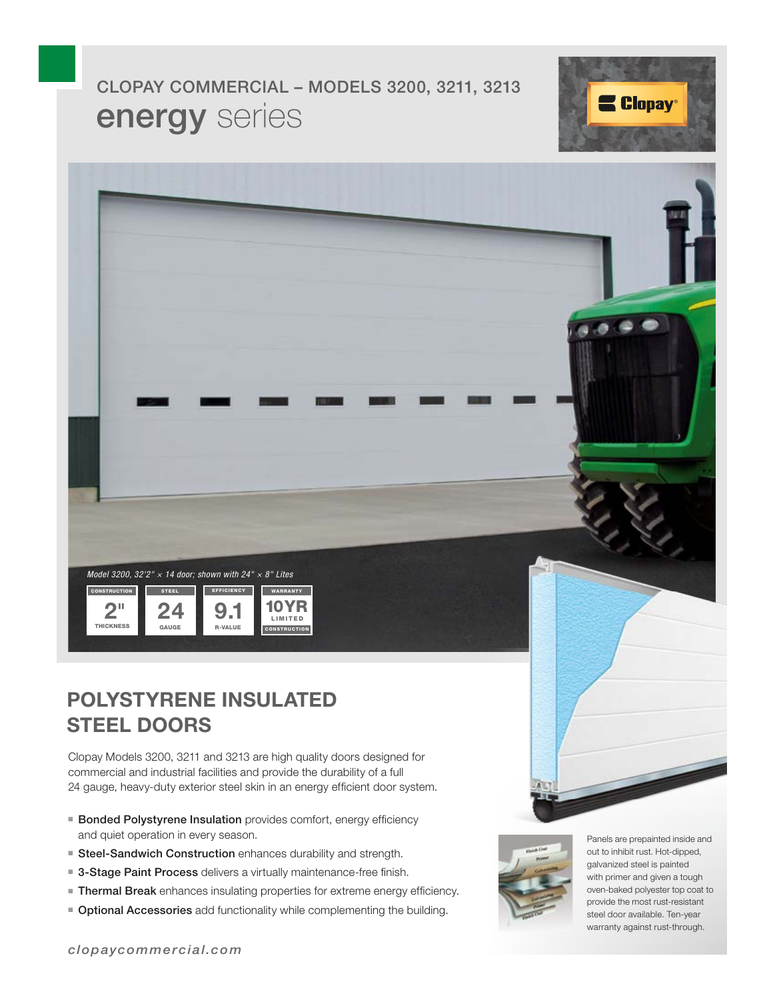# energy series CLOPAY COMMERCIAL – MODELS 3200, 3211, 3213





### **POLYSTYRENE INSULATED STEEL DOORS**

Clopay Models 3200, 3211 and 3213 are high quality doors designed for commercial and industrial facilities and provide the durability of a full 24 gauge, heavy-duty exterior steel skin in an energy efficient door system.

- Bonded Polystyrene Insulation provides comfort, energy efficiency and quiet operation in every season.
- Steel-Sandwich Construction enhances durability and strength.
- 3-Stage Paint Process delivers a virtually maintenance-free finish.
- Thermal Break enhances insulating properties for extreme energy efficiency.
- Optional Accessories add functionality while complementing the building.



Panels are prepainted inside and out to inhibit rust. Hot-dipped, galvanized steel is painted with primer and given a tough oven-baked polyester top coat to provide the most rust-resistant steel door available. Ten-year warranty against rust-through.